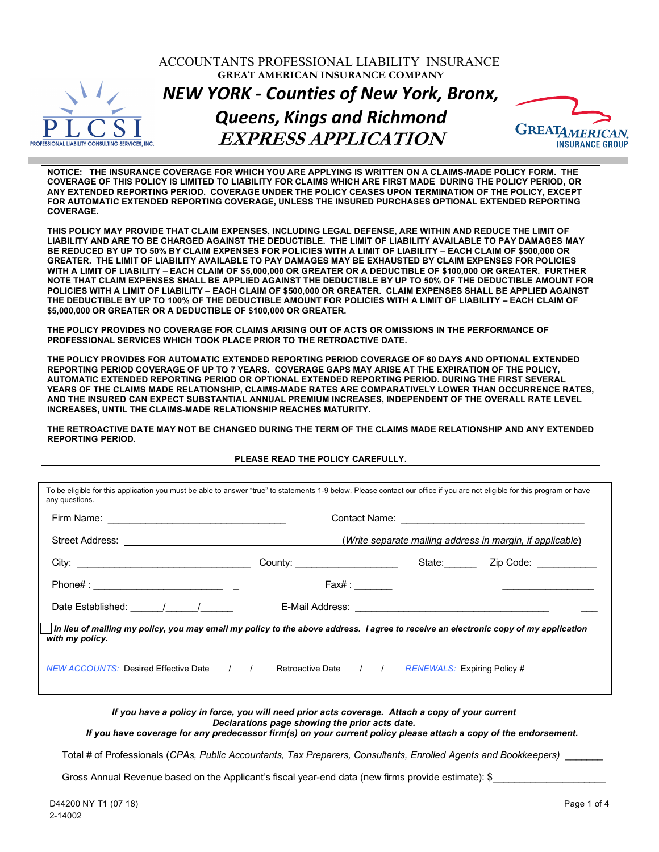| ACCOUNTANTS PROFESSIONAL LIABILITY INSURANCE<br><b>GREAT AMERICAN INSURANCE COMPANY</b><br><b>NEW YORK - Counties of New York, Bronx,</b><br><b>Queens, Kings and Richmond</b><br><b>GREATAMERICAN</b><br><b>EXPRESS APPLICATION</b><br>PROFESSIONAL LIABILITY CONSULTING SERVICES, INC.<br>INSURANCE GROUP                                                                                                                                                                                                                                                                                                                                                                                                                                                                                                                                                                                                                                                                                    |  |
|------------------------------------------------------------------------------------------------------------------------------------------------------------------------------------------------------------------------------------------------------------------------------------------------------------------------------------------------------------------------------------------------------------------------------------------------------------------------------------------------------------------------------------------------------------------------------------------------------------------------------------------------------------------------------------------------------------------------------------------------------------------------------------------------------------------------------------------------------------------------------------------------------------------------------------------------------------------------------------------------|--|
| NOTICE: THE INSURANCE COVERAGE FOR WHICH YOU ARE APPLYING IS WRITTEN ON A CLAIMS-MADE POLICY FORM. THE<br>COVERAGE OF THIS POLICY IS LIMITED TO LIABILITY FOR CLAIMS WHICH ARE FIRST MADE DURING THE POLICY PERIOD, OR<br>ANY EXTENDED REPORTING PERIOD. COVERAGE UNDER THE POLICY CEASES UPON TERMINATION OF THE POLICY, EXCEPT<br>FOR AUTOMATIC EXTENDED REPORTING COVERAGE. UNLESS THE INSURED PURCHASES OPTIONAL EXTENDED REPORTING<br><b>COVERAGE.</b>                                                                                                                                                                                                                                                                                                                                                                                                                                                                                                                                    |  |
| THIS POLICY MAY PROVIDE THAT CLAIM EXPENSES, INCLUDING LEGAL DEFENSE, ARE WITHIN AND REDUCE THE LIMIT OF<br>LIABILITY AND ARE TO BE CHARGED AGAINST THE DEDUCTIBLE. THE LIMIT OF LIABILITY AVAILABLE TO PAY DAMAGES MAY<br>BE REDUCED BY UP TO 50% BY CLAIM EXPENSES FOR POLICIES WITH A LIMIT OF LIABILITY - EACH CLAIM OF \$500,000 OR<br>GREATER. THE LIMIT OF LIABILITY AVAILABLE TO PAY DAMAGES MAY BE EXHAUSTED BY CLAIM EXPENSES FOR POLICIES<br>WITH A LIMIT OF LIABILITY – EACH CLAIM OF \$5,000,000 OR GREATER OR A DEDUCTIBLE OF \$100,000 OR GREATER. FURTHER<br>NOTE THAT CLAIM EXPENSES SHALL BE APPLIED AGAINST THE DEDUCTIBLE BY UP TO 50% OF THE DEDUCTIBLE AMOUNT FOR<br>POLICIES WITH A LIMIT OF LIABILITY – EACH CLAIM OF \$500.000 OR GREATER. CLAIM EXPENSES SHALL BE APPLIED AGAINST<br>THE DEDUCTIBLE BY UP TO 100% OF THE DEDUCTIBLE AMOUNT FOR POLICIES WITH A LIMIT OF LIABILITY - EACH CLAIM OF<br>\$5,000,000 OR GREATER OR A DEDUCTIBLE OF \$100,000 OR GREATER. |  |
| THE POLICY PROVIDES NO COVERAGE FOR CLAIMS ARISING OUT OF ACTS OR OMISSIONS IN THE PERFORMANCE OF<br>PROFESSIONAL SERVICES WHICH TOOK PLACE PRIOR TO THE RETROACTIVE DATE.                                                                                                                                                                                                                                                                                                                                                                                                                                                                                                                                                                                                                                                                                                                                                                                                                     |  |
| THE POLICY PROVIDES FOR AUTOMATIC EXTENDED REPORTING PERIOD COVERAGE OF 60 DAYS AND OPTIONAL EXTENDED<br>REPORTING PERIOD COVERAGE OF UP TO 7 YEARS. COVERAGE GAPS MAY ARISE AT THE EXPIRATION OF THE POLICY.<br>AUTOMATIC EXTENDED REPORTING PERIOD OR OPTIONAL EXTENDED REPORTING PERIOD. DURING THE FIRST SEVERAL<br>YEARS OF THE CLAIMS MADE RELATIONSHIP, CLAIMS-MADE RATES ARE COMPARATIVELY LOWER THAN OCCURRENCE RATES,<br>AND THE INSURED CAN EXPECT SUBSTANTIAL ANNUAL PREMIUM INCREASES, INDEPENDENT OF THE OVERALL RATE LEVEL<br>INCREASES, UNTIL THE CLAIMS-MADE RELATIONSHIP REACHES MATURITY.                                                                                                                                                                                                                                                                                                                                                                                   |  |
| THE RETROACTIVE DATE MAY NOT BE CHANGED DURING THE TERM OF THE CLAIMS MADE RELATIONSHIP AND ANY EXTENDED<br><b>REPORTING PERIOD.</b>                                                                                                                                                                                                                                                                                                                                                                                                                                                                                                                                                                                                                                                                                                                                                                                                                                                           |  |
| PLEASE READ THE POLICY CAREFULLY.                                                                                                                                                                                                                                                                                                                                                                                                                                                                                                                                                                                                                                                                                                                                                                                                                                                                                                                                                              |  |
| To be eligible for this application you must be able to answer "true" to statements 1-9 below. Please contact our office if you are not eligible for this program or have<br>any questions.                                                                                                                                                                                                                                                                                                                                                                                                                                                                                                                                                                                                                                                                                                                                                                                                    |  |
| Firm Name∙<br>Contact Name:                                                                                                                                                                                                                                                                                                                                                                                                                                                                                                                                                                                                                                                                                                                                                                                                                                                                                                                                                                    |  |

|                                                                                                                                                        |                                |  | (Write separate mailing address in margin, if applicable) |
|--------------------------------------------------------------------------------------------------------------------------------------------------------|--------------------------------|--|-----------------------------------------------------------|
|                                                                                                                                                        | County: ______________________ |  | State: Zip Code:                                          |
|                                                                                                                                                        |                                |  |                                                           |
| Date Established: / / /                                                                                                                                |                                |  |                                                           |
| In lieu of mailing my policy, you may email my policy to the above address. I agree to receive an electronic copy of my application<br>with my policy. |                                |  |                                                           |
| NEW ACCOUNTS: Desired Effective Date / / / Retroactive Date / / / RENEWALS: Expiring Policy #                                                          |                                |  |                                                           |
|                                                                                                                                                        |                                |  |                                                           |

*If you have a policy in force, you will need prior acts coverage. Attach a copy of your current Declarations page showing the prior acts date.*

*If you have coverage for any predecessor firm(s) on your current policy please attach a copy of the endorsement.*

Total # of Professionals (*CPAs, Public Accountants, Tax Preparers, Consultants, Enrolled Agents and Bookkeepers)* \_\_\_\_\_\_\_

Gross Annual Revenue based on the Applicant's fiscal year-end data (new firms provide estimate): \$\_\_\_\_\_\_\_\_\_\_\_\_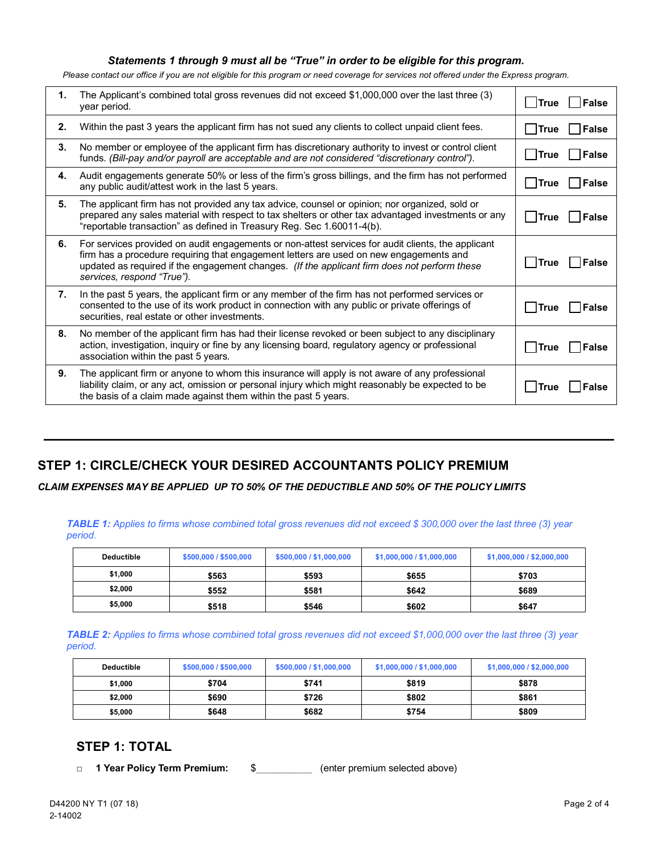### *Statements 1 through 9 must all be "True" in order to be eligible for this program.*

*Please contact our office if you are not eligible for this program or need coverage for services not offered under the Express program.*

| 1. | The Applicant's combined total gross revenues did not exceed \$1,000,000 over the last three (3)<br>year period.                                                                                                                                                                                                           | True        | False         |
|----|----------------------------------------------------------------------------------------------------------------------------------------------------------------------------------------------------------------------------------------------------------------------------------------------------------------------------|-------------|---------------|
| 2. | Within the past 3 years the applicant firm has not sued any clients to collect unpaid client fees.                                                                                                                                                                                                                         | l lTrue     | False         |
| 3. | No member or employee of the applicant firm has discretionary authority to invest or control client<br>funds. (Bill-pay and/or payroll are acceptable and are not considered "discretionary control").                                                                                                                     |             | True    False |
| 4. | Audit engagements generate 50% or less of the firm's gross billings, and the firm has not performed<br>any public audit/attest work in the last 5 years.                                                                                                                                                                   |             | □True □ False |
| 5. | The applicant firm has not provided any tax advice, counsel or opinion; nor organized, sold or<br>prepared any sales material with respect to tax shelters or other tax advantaged investments or any<br>"reportable transaction" as defined in Treasury Reg. Sec 1.60011-4(b).                                            | $\Box$ True | $\Box$ False  |
| 6. | For services provided on audit engagements or non-attest services for audit clients, the applicant<br>firm has a procedure requiring that engagement letters are used on new engagements and<br>updated as required if the engagement changes. (If the applicant firm does not perform these<br>services, respond "True"). | l lTrue     | False         |
| 7. | In the past 5 years, the applicant firm or any member of the firm has not performed services or<br>consented to the use of its work product in connection with any public or private offerings of<br>securities, real estate or other investments.                                                                         | <b>True</b> | l lFalse      |
| 8. | No member of the applicant firm has had their license revoked or been subject to any disciplinary<br>action, investigation, inquiry or fine by any licensing board, regulatory agency or professional<br>association within the past 5 years.                                                                              | l lTrue     | l lFalse      |
| 9. | The applicant firm or anyone to whom this insurance will apply is not aware of any professional<br>liability claim, or any act, omission or personal injury which might reasonably be expected to be<br>the basis of a claim made against them within the past 5 years.                                                    | <b>True</b> | <b>False</b>  |

# **STEP 1: CIRCLE/CHECK YOUR DESIRED ACCOUNTANTS POLICY PREMIUM**

*CLAIM EXPENSES MAY BE APPLIED UP TO 50% OF THE DEDUCTIBLE AND 50% OF THE POLICY LIMITS*

*TABLE 1: Applies to firms whose combined total gross revenues did not exceed \$ 300,000 over the last three (3) year period.*

| <b>Deductible</b> | \$500,000 / \$500,000 | \$500,000 / \$1,000,000 | \$1,000,000 / \$1,000,000 | \$1,000,000 / \$2,000,000 |
|-------------------|-----------------------|-------------------------|---------------------------|---------------------------|
| \$1,000           | \$563                 | \$593                   | \$655                     | \$703                     |
| \$2,000           | \$552                 | \$581                   | \$642                     | \$689                     |
| \$5,000           | \$518                 | \$546                   | \$602                     | \$647                     |

*TABLE 2: Applies to firms whose combined total gross revenues did not exceed \$1,000,000 over the last three (3) year period.*

| <b>Deductible</b> | \$500,000 / \$500,000 | \$500,000 / \$1,000,000 | \$1,000,000 / \$1,000,000 | \$1,000,000 / \$2,000,000 |
|-------------------|-----------------------|-------------------------|---------------------------|---------------------------|
| \$1.000           | \$704                 | \$741                   | \$819                     | \$878                     |
| \$2.000           | \$690                 | \$726                   | \$802                     | \$861                     |
| \$5,000           | \$648                 | \$682                   | \$754                     | \$809                     |

### **STEP 1: TOTAL**

**□ 1 Year Policy Term Premium:** \$\_\_\_\_\_\_\_\_\_\_\_\_\_ (enter premium selected above)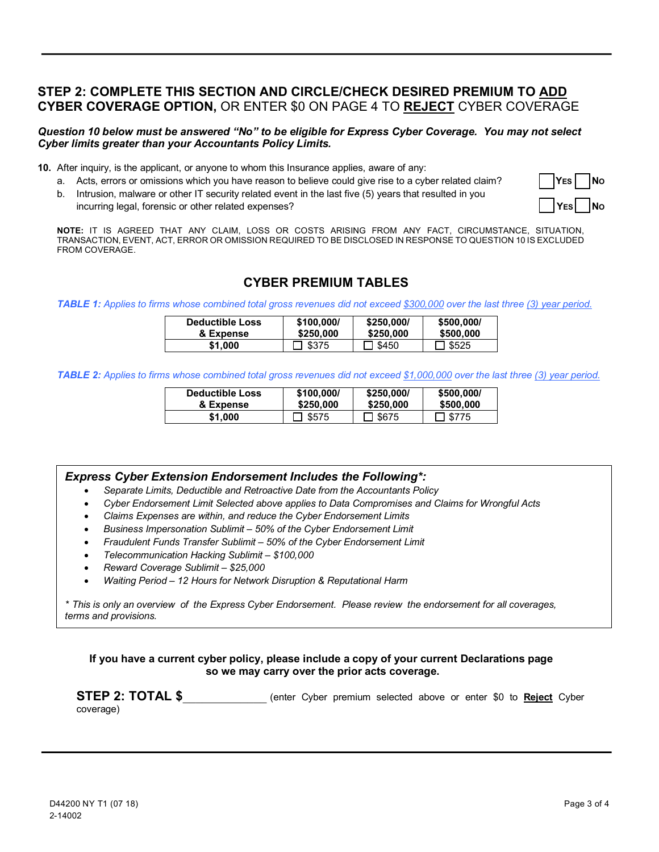## **STEP 2: COMPLETE THIS SECTION AND CIRCLE/CHECK DESIRED PREMIUM TO ADD CYBER COVERAGE OPTION,** OR ENTER \$0 ON PAGE 4 TO **REJECT** CYBER COVERAGE

#### *Question 10 below must be answered "No" to be eligible for Express Cyber Coverage. You may not select Cyber limits greater than your Accountants Policy Limits.*

**10.** After inquiry, is the applicant, or anyone to whom this Insurance applies, aware of any:

- a. Acts, errors or omissions which you have reason to believe could give rise to a cyber related claim? **YES** No
- b. Intrusion, malware or other IT security related event in the last five (5) years that resulted in you incurring legal, forensic or other related expenses?



**NOTE:** IT IS AGREED THAT ANY CLAIM, LOSS OR COSTS ARISING FROM ANY FACT, CIRCUMSTANCE, SITUATION, TRANSACTION, EVENT, ACT, ERROR OR OMISSION REQUIRED TO BE DISCLOSED IN RESPONSE TO QUESTION 10 IS EXCLUDED FROM COVERAGE.

## **CYBER PREMIUM TABLES**

*TABLE 1: Applies to firms whose combined total gross revenues did not exceed \$300,000 over the last three (3) year period.*

| <b>Deductible Loss</b> | \$100,000/ | \$250,000/ | \$500,000/ |
|------------------------|------------|------------|------------|
| & Expense              | \$250,000  | \$250.000  | \$500.000  |
| \$1.000                | \$375      | \$450      | \$525      |

*TABLE 2: Applies to firms whose combined total gross revenues did not exceed \$1,000,000 over the last three (3) year period.* 

| <b>Deductible Loss</b> | \$100,000/ | \$250,000/      | \$500,000/   |
|------------------------|------------|-----------------|--------------|
| & Expense              | \$250,000  | \$250,000       | \$500,000    |
| \$1.000                | \$575      | <b>TE</b> \$675 | $\Box$ \$775 |

### *Express Cyber Extension Endorsement Includes the Following\*:*

- *Separate Limits, Deductible and Retroactive Date from the Accountants Policy*
- *Cyber Endorsement Limit Selected above applies to Data Compromises and Claims for Wrongful Acts*
- *Claims Expenses are within, and reduce the Cyber Endorsement Limits*
- *Business Impersonation Sublimit 50% of the Cyber Endorsement Limit*
- *Fraudulent Funds Transfer Sublimit 50% of the Cyber Endorsement Limit*
- *Telecommunication Hacking Sublimit \$100,000*
- *Reward Coverage Sublimit \$25,000*
- *Waiting Period 12 Hours for Network Disruption & Reputational Harm*

*\* This is only an overview of the Express Cyber Endorsement. Please review the endorsement for all coverages, terms and provisions.*

#### **If you have a current cyber policy, please include a copy of your current Declarations page so we may carry over the prior acts coverage.**

**STEP 2: TOTAL \$** (enter Cyber premium selected above or enter \$0 to Reject Cyber coverage)